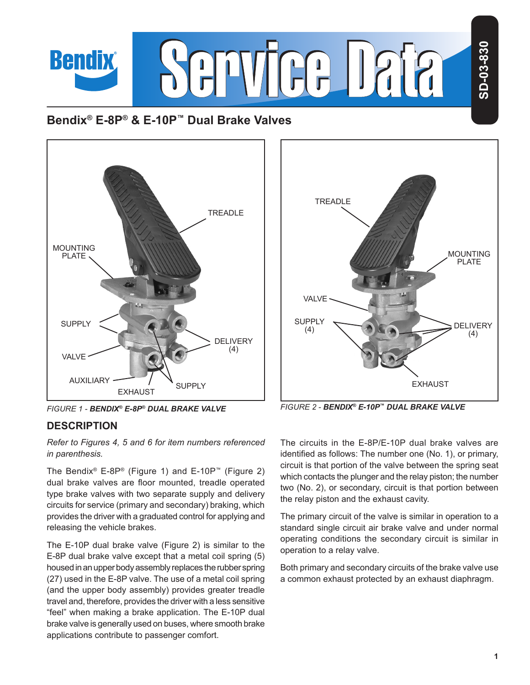

# **Bendix® E-8P® & E-10P™ Dual Brake Valves**



## **DESCRIPTION**

*Refer to Figures 4, 5 and 6 for item numbers referenced in parenthesis.*

The Bendix<sup>®</sup> E-8P<sup>®</sup> (Figure 1) and E-10P<sup>™</sup> (Figure 2) dual brake valves are floor mounted, treadle operated type brake valves with two separate supply and delivery circuits for service (primary and secondary) braking, which provides the driver with a graduated control for applying and releasing the vehicle brakes.

The E-10P dual brake valve (Figure 2) is similar to the E-8P dual brake valve except that a metal coil spring (5) housed in an upper body assembly replaces the rubber spring (27) used in the E-8P valve. The use of a metal coil spring (and the upper body assembly) provides greater treadle travel and, therefore, provides the driver with a less sensitive "feel" when making a brake application. The E-10P dual brake valve is generally used on buses, where smooth brake applications contribute to passenger comfort.



*FIGURE 1 - BENDIX® E-8P® DUAL BRAKE VALVE FIGURE 2 - BENDIX® E-10P™ DUAL BRAKE VALVE*

The circuits in the E-8P/E-10P dual brake valves are identified as follows: The number one (No. 1), or primary, circuit is that portion of the valve between the spring seat which contacts the plunger and the relay piston; the number two (No. 2), or secondary, circuit is that portion between the relay piston and the exhaust cavity.

The primary circuit of the valve is similar in operation to a standard single circuit air brake valve and under normal operating conditions the secondary circuit is similar in operation to a relay valve.

Both primary and secondary circuits of the brake valve use a common exhaust protected by an exhaust diaphragm.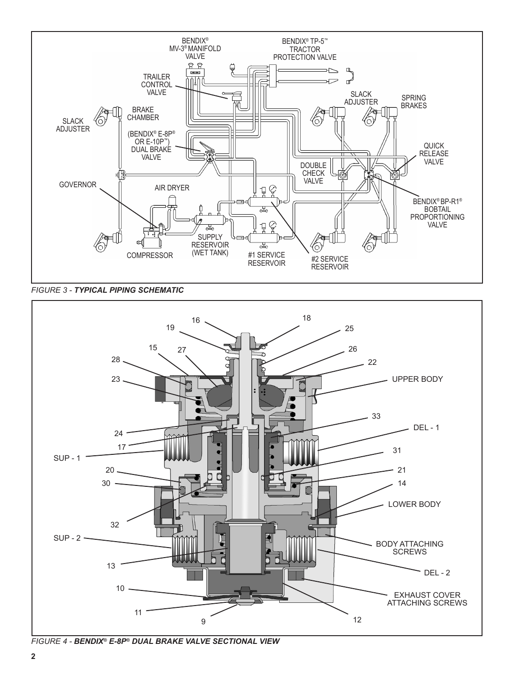

*FIGURE 3 - TYPICAL PIPING SCHEMATIC*



*FIGURE 4 - BENDIX® E-8P® DUAL BRAKE VALVE SECTIONAL VIEW*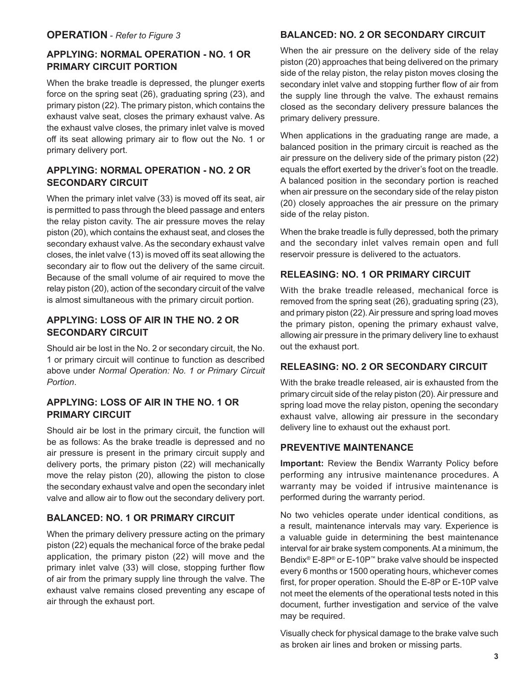## **APPLYING: NORMAL OPERATION - NO. 1 OR PRIMARY CIRCUIT PORTION**

When the brake treadle is depressed, the plunger exerts force on the spring seat (26), graduating spring (23), and primary piston (22). The primary piston, which contains the exhaust valve seat, closes the primary exhaust valve. As the exhaust valve closes, the primary inlet valve is moved off its seat allowing primary air to flow out the No. 1 or primary delivery port.

## **APPLYING: NORMAL OPERATION - NO. 2 OR SECONDARY CIRCUIT**

When the primary inlet valve (33) is moved off its seat, air is permitted to pass through the bleed passage and enters the relay piston cavity. The air pressure moves the relay piston (20), which contains the exhaust seat, and closes the secondary exhaust valve. As the secondary exhaust valve closes, the inlet valve (13) is moved off its seat allowing the secondary air to flow out the delivery of the same circuit. Because of the small volume of air required to move the relay piston (20), action of the secondary circuit of the valve is almost simultaneous with the primary circuit portion.

## **APPLYING: LOSS OF AIR IN THE NO. 2 OR SECONDARY CIRCUIT**

Should air be lost in the No. 2 or secondary circuit, the No. 1 or primary circuit will continue to function as described above under *Normal Operation: No. 1 or Primary Circuit Portion*.

## **APPLYING: LOSS OF AIR IN THE NO. 1 OR PRIMARY CIRCUIT**

Should air be lost in the primary circuit, the function will be as follows: As the brake treadle is depressed and no air pressure is present in the primary circuit supply and delivery ports, the primary piston (22) will mechanically move the relay piston (20), allowing the piston to close the secondary exhaust valve and open the secondary inlet valve and allow air to flow out the secondary delivery port.

## **BALANCED: NO. 1 OR PRIMARY CIRCUIT**

When the primary delivery pressure acting on the primary piston (22) equals the mechanical force of the brake pedal application, the primary piston (22) will move and the primary inlet valve (33) will close, stopping further flow of air from the primary supply line through the valve. The exhaust valve remains closed preventing any escape of air through the exhaust port.

### **BALANCED: NO. 2 OR SECONDARY CIRCUIT**

When the air pressure on the delivery side of the relay piston (20) approaches that being delivered on the primary side of the relay piston, the relay piston moves closing the secondary inlet valve and stopping further flow of air from the supply line through the valve. The exhaust remains closed as the secondary delivery pressure balances the primary delivery pressure.

When applications in the graduating range are made, a balanced position in the primary circuit is reached as the air pressure on the delivery side of the primary piston (22) equals the effort exerted by the driver's foot on the treadle. A balanced position in the secondary portion is reached when air pressure on the secondary side of the relay piston (20) closely approaches the air pressure on the primary side of the relay piston.

When the brake treadle is fully depressed, both the primary and the secondary inlet valves remain open and full reservoir pressure is delivered to the actuators.

## **RELEASING: NO. 1 OR PRIMARY CIRCUIT**

With the brake treadle released, mechanical force is removed from the spring seat (26), graduating spring (23), and primary piston (22). Air pressure and spring load moves the primary piston, opening the primary exhaust valve, allowing air pressure in the primary delivery line to exhaust out the exhaust port.

## **RELEASING: NO. 2 OR SECONDARY CIRCUIT**

With the brake treadle released, air is exhausted from the primary circuit side of the relay piston (20). Air pressure and spring load move the relay piston, opening the secondary exhaust valve, allowing air pressure in the secondary delivery line to exhaust out the exhaust port.

## **PREVENTIVE MAINTENANCE**

**Important:** Review the Bendix Warranty Policy before performing any intrusive maintenance procedures. A warranty may be voided if intrusive maintenance is performed during the warranty period.

No two vehicles operate under identical conditions, as a result, maintenance intervals may vary. Experience is a valuable guide in determining the best maintenance interval for air brake system components. At a minimum, the Bendix® E-8P® or E-10P™ brake valve should be inspected every 6 months or 1500 operating hours, whichever comes first, for proper operation. Should the E-8P or E-10P valve not meet the elements of the operational tests noted in this document, further investigation and service of the valve may be required.

Visually check for physical damage to the brake valve such as broken air lines and broken or missing parts.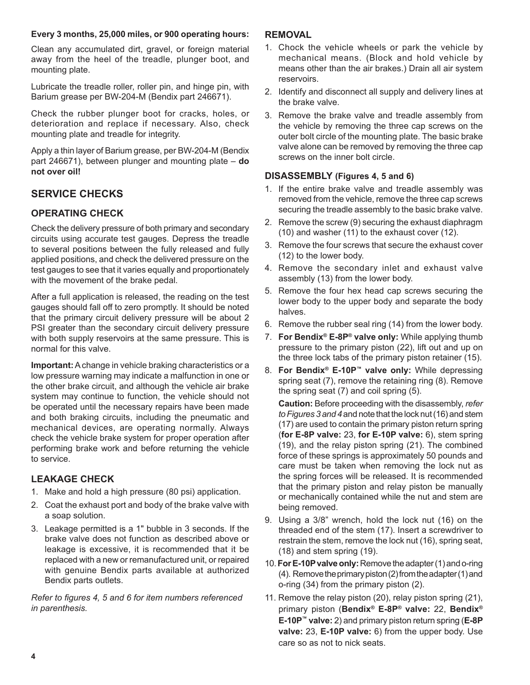#### **Every 3 months, 25,000 miles, or 900 operating hours:**

Clean any accumulated dirt, gravel, or foreign material away from the heel of the treadle, plunger boot, and mounting plate.

Lubricate the treadle roller, roller pin, and hinge pin, with Barium grease per BW-204-M (Bendix part 246671).

Check the rubber plunger boot for cracks, holes, or deterioration and replace if necessary. Also, check mounting plate and treadle for integrity.

Apply a thin layer of Barium grease, per BW-204-M (Bendix part 246671), between plunger and mounting plate – **do not over oil!**

## **SERVICE CHECKS**

## **OPERATING CHECK**

Check the delivery pressure of both primary and secondary circuits using accurate test gauges. Depress the treadle to several positions between the fully released and fully applied positions, and check the delivered pressure on the test gauges to see that it varies equally and proportionately with the movement of the brake pedal.

After a full application is released, the reading on the test gauges should fall off to zero promptly. It should be noted that the primary circuit delivery pressure will be about 2 PSI greater than the secondary circuit delivery pressure with both supply reservoirs at the same pressure. This is normal for this valve.

**Important:** A change in vehicle braking characteristics or a low pressure warning may indicate a malfunction in one or the other brake circuit, and although the vehicle air brake system may continue to function, the vehicle should not be operated until the necessary repairs have been made and both braking circuits, including the pneumatic and mechanical devices, are operating normally. Always check the vehicle brake system for proper operation after performing brake work and before returning the vehicle to service.

## **LEAKAGE CHECK**

- 1. Make and hold a high pressure (80 psi) application.
- 2. Coat the exhaust port and body of the brake valve with a soap solution.
- 3. Leakage permitted is a 1" bubble in 3 seconds. If the brake valve does not function as described above or leakage is excessive, it is recommended that it be replaced with a new or remanufactured unit, or repaired with genuine Bendix parts available at authorized Bendix parts outlets.

*Refer to figures 4, 5 and 6 for item numbers referenced in parenthesis.*

### **REMOVAL**

- 1. Chock the vehicle wheels or park the vehicle by mechanical means. (Block and hold vehicle by means other than the air brakes.) Drain all air system reservoirs.
- 2. Identify and disconnect all supply and delivery lines at the brake valve.
- 3. Remove the brake valve and treadle assembly from the vehicle by removing the three cap screws on the outer bolt circle of the mounting plate. The basic brake valve alone can be removed by removing the three cap screws on the inner bolt circle.

## **DISASSEMBLY (Figures 4, 5 and 6)**

- 1. If the entire brake valve and treadle assembly was removed from the vehicle, remove the three cap screws securing the treadle assembly to the basic brake valve.
- 2. Remove the screw (9) securing the exhaust diaphragm (10) and washer (11) to the exhaust cover (12).
- 3. Remove the four screws that secure the exhaust cover (12) to the lower body.
- 4. Remove the secondary inlet and exhaust valve assembly (13) from the lower body.
- 5. Remove the four hex head cap screws securing the lower body to the upper body and separate the body halves.
- 6. Remove the rubber seal ring (14) from the lower body.
- 7. **For Bendix® E-8P® valve only:** While applying thumb pressure to the primary piston (22), lift out and up on the three lock tabs of the primary piston retainer (15).
- 8. **For Bendix® E-10P™ valve only:** While depressing spring seat (7), remove the retaining ring (8). Remove the spring seat (7) and coil spring (5).

**Caution:** Before proceeding with the disassembly, *refer to Figures 3 and 4* and note that the lock nut (16) and stem (17) are used to contain the primary piston return spring (**for E-8P valve:** 23, **for E-10P valve:** 6), stem spring (19), and the relay piston spring (21). The combined force of these springs is approximately 50 pounds and care must be taken when removing the lock nut as the spring forces will be released. It is recommended that the primary piston and relay piston be manually or mechanically contained while the nut and stem are being removed.

- 9. Using a 3/8" wrench, hold the lock nut (16) on the threaded end of the stem (17). Insert a screwdriver to restrain the stem, remove the lock nut (16), spring seat, (18) and stem spring (19).
- 10. **For E-10P valve only:** Remove the adapter (1) and o-ring (4). Remove the primary piston (2) from the adapter (1) and o-ring (34) from the primary piston (2).
- 11. Remove the relay piston (20), relay piston spring (21), primary piston (**Bendix® E-8P® valve:** 22, **Bendix® E-10P™ valve:** 2) and primary piston return spring (**E-8P valve:** 23, **E-10P valve:** 6) from the upper body. Use care so as not to nick seats.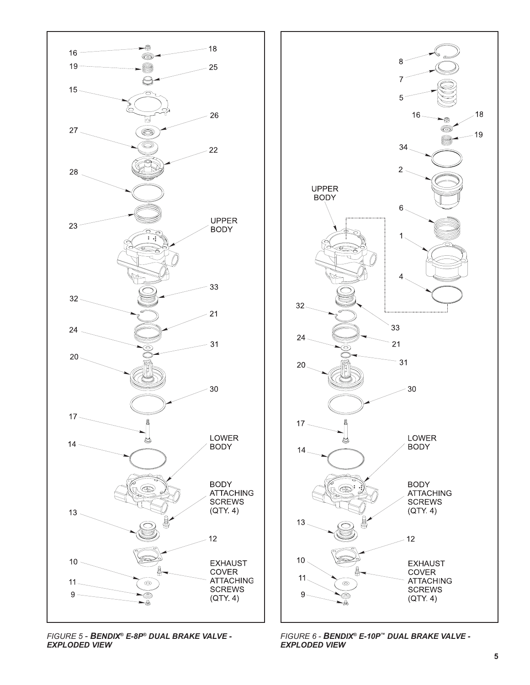





*FIGURE 6 - BENDIX® E-10P™ DUAL BRAKE VALVE - EXPLODED VIEW*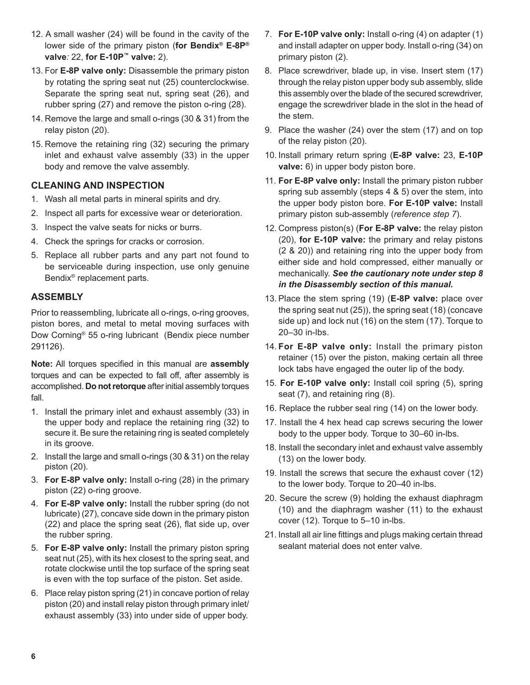- 12. A small washer (24) will be found in the cavity of the lower side of the primary piston (**for Bendix® E-8P® valve***:* 22, **for E-10P™ valve:** 2).
- 13. For **E-8P valve only:** Disassemble the primary piston by rotating the spring seat nut (25) counterclockwise. Separate the spring seat nut, spring seat (26), and rubber spring (27) and remove the piston o-ring (28).
- 14. Remove the large and small o-rings (30 & 31) from the relay piston (20).
- 15. Remove the retaining ring (32) securing the primary inlet and exhaust valve assembly (33) in the upper body and remove the valve assembly.

## **CLEANING AND INSPECTION**

- 1. Wash all metal parts in mineral spirits and dry.
- 2. Inspect all parts for excessive wear or deterioration.
- 3. Inspect the valve seats for nicks or burrs.
- 4. Check the springs for cracks or corrosion.
- 5. Replace all rubber parts and any part not found to be serviceable during inspection, use only genuine Bendix® replacement parts.

### **ASSEMBLY**

Prior to reassembling, lubricate all o-rings, o-ring grooves, piston bores, and metal to metal moving surfaces with Dow Corning® 55 o-ring lubricant (Bendix piece number 291126).

**Note:** All torques specified in this manual are **assembly**  torques and can be expected to fall off, after assembly is accomplished. **Do not retorque** after initial assembly torques fall.

- 1. Install the primary inlet and exhaust assembly (33) in the upper body and replace the retaining ring (32) to secure it. Be sure the retaining ring is seated completely in its groove.
- 2. Install the large and small o-rings (30 & 31) on the relay piston (20).
- 3. **For E-8P valve only:** Install o-ring (28) in the primary piston (22) o-ring groove.
- 4. **For E-8P valve only:** Install the rubber spring (do not lubricate) (27), concave side down in the primary piston (22) and place the spring seat (26), flat side up, over the rubber spring.
- 5. **For E-8P valve only:** Install the primary piston spring seat nut (25), with its hex closest to the spring seat, and rotate clockwise until the top surface of the spring seat is even with the top surface of the piston. Set aside.
- 6. Place relay piston spring (21) in concave portion of relay piston (20) and install relay piston through primary inlet/ exhaust assembly (33) into under side of upper body.
- 7. **For E-10P valve only:** Install o-ring (4) on adapter (1) and install adapter on upper body. Install o-ring (34) on primary piston (2).
- 8. Place screwdriver, blade up, in vise. Insert stem (17) through the relay piston upper body sub assembly, slide this assembly over the blade of the secured screwdriver, engage the screwdriver blade in the slot in the head of the stem.
- 9. Place the washer (24) over the stem (17) and on top of the relay piston (20).
- 10. Install primary return spring (**E-8P valve:** 23, **E-10P valve:** 6) in upper body piston bore.
- 11. **For E-8P valve only:** Install the primary piston rubber spring sub assembly (steps 4 & 5) over the stem, into the upper body piston bore. **For E-10P valve:** Install primary piston sub-assembly (*reference step 7*).
- 12. Compress piston(s) (**For E-8P valve:** the relay piston (20), **for E-10P valve:** the primary and relay pistons (2 & 20)) and retaining ring into the upper body from either side and hold compressed, either manually or mechanically. *See the cautionary note under step 8 in the Disassembly section of this manual.*
- 13. Place the stem spring (19) (**E-8P valve:** place over the spring seat nut (25)), the spring seat (18) (concave side up) and lock nut (16) on the stem (17). Torque to 20–30 in-lbs.
- 14. **For E-8P valve only:** Install the primary piston retainer (15) over the piston, making certain all three lock tabs have engaged the outer lip of the body.
- 15. **For E-10P valve only:** Install coil spring (5), spring seat (7), and retaining ring (8).
- 16. Replace the rubber seal ring (14) on the lower body.
- 17. Install the 4 hex head cap screws securing the lower body to the upper body. Torque to 30–60 in-lbs.
- 18. Install the secondary inlet and exhaust valve assembly (13) on the lower body.
- 19. Install the screws that secure the exhaust cover (12) to the lower body. Torque to 20–40 in-lbs.
- 20. Secure the screw (9) holding the exhaust diaphragm (10) and the diaphragm washer (11) to the exhaust cover (12). Torque to 5–10 in-lbs.
- 21. Install all air line fittings and plugs making certain thread sealant material does not enter valve.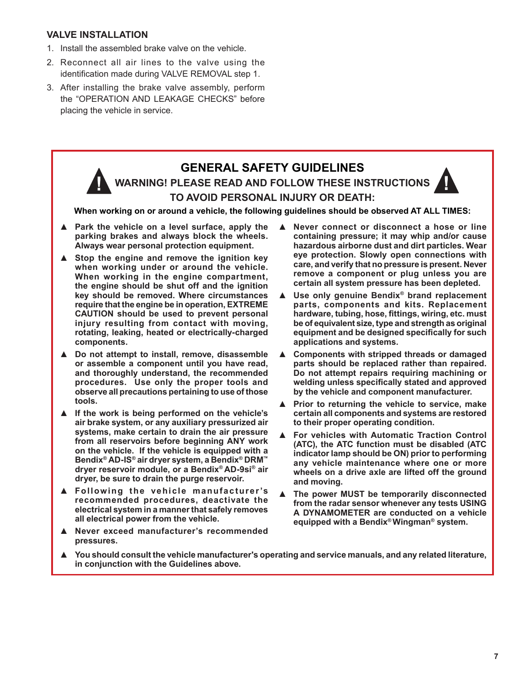#### **VALVE INSTALLATION**

- 1. Install the assembled brake valve on the vehicle.
- 2. Reconnect all air lines to the valve using the identification made during VALVE REMOVAL step 1.
- 3. After installing the brake valve assembly, perform the "OPERATION AND LEAKAGE CHECKS" before placing the vehicle in service.

# **GENERAL SAFETY GUIDELINES WARNING! PLEASE READ AND FOLLOW THESE INSTRUCTIONS TO AVOID PERSONAL INJURY OR DEATH:**

**When working on or around a vehicle, the following guidelines should be observed AT ALL TIMES:**

- Park the vehicle on a level surface, apply the **parking brakes and always block the wheels. Always wear personal protection equipment.**
- **▲ Stop the engine and remove the ignition key when working under or around the vehicle. When working in the engine compartment, the engine should be shut off and the ignition key should be removed. Where circumstances require that the engine be in operation, EXTREME CAUTION should be used to prevent personal injury resulting from contact with moving, rotating, leaking, heated or electrically-charged components.**
- **▲ Do not attempt to install, remove, disassemble or assemble a component until you have read, and thoroughly understand, the recommended procedures. Use only the proper tools and observe all precautions pertaining to use of those tools.**
- **▲ If the work is being performed on the vehicle's air brake system, or any auxiliary pressurized air systems, make certain to drain the air pressure from all reservoirs before beginning ANY work on the vehicle. If the vehicle is equipped with a Bendix® AD-IS® air dryer system, a Bendix® DRM™ dryer reservoir module, or a Bendix® AD-9si® air dryer, be sure to drain the purge reservoir.**
- **▲ Following the vehicle manufacturer 's recommended procedures, deactivate the electrical system in a manner that safely removes all electrical power from the vehicle.**
- **▲ Never exceed manufacturer's recommended pressures.**
- **▲ Never connect or disconnect a hose or line containing pressure; it may whip and/or cause hazardous airborne dust and dirt particles. Wear eye protection. Slowly open connections with care, and verify that no pressure is present. Never remove a component or plug unless you are certain all system pressure has been depleted.**
- **▲ Use only genuine Bendix® brand replacement parts, components and kits. Replacement**  hardware, tubing, hose, fittings, wiring, etc. must **be of equivalent size, type and strength as original**  equipment and be designed specifically for such **applications and systems.**
- **▲ Components with stripped threads or damaged parts should be replaced rather than repaired. Do not attempt repairs requiring machining or**  welding unless specifically stated and approved **by the vehicle and component manufacturer.**
- **▲ Prior to returning the vehicle to service, make certain all components and systems are restored to their proper operating condition.**
- **▲ For vehicles with Automatic Traction Control (ATC), the ATC function must be disabled (ATC indicator lamp should be ON) prior to performing any vehicle maintenance where one or more wheels on a drive axle are lifted off the ground and moving.**
- **▲ The power MUST be temporarily disconnected from the radar sensor whenever any tests USING A DYNAMOMETER are conducted on a vehicle equipped with a Bendix® Wingman® system.**
- **▲ You should consult the vehicle manufacturer's operating and service manuals, and any related literature, in conjunction with the Guidelines above.**